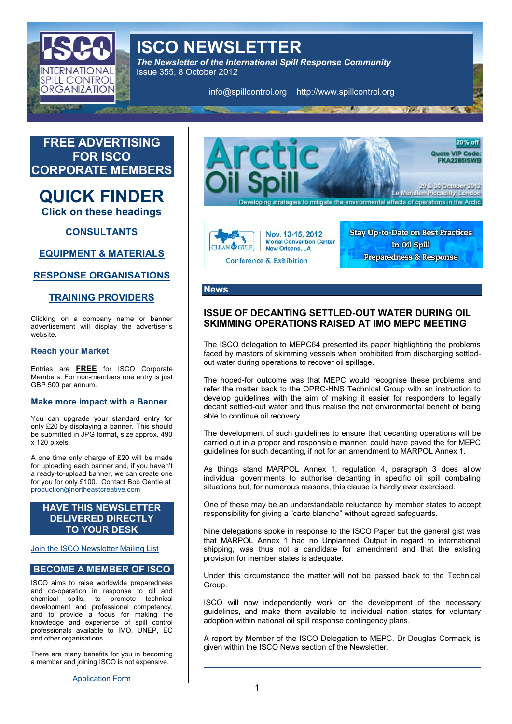ISCO NEWSLETTER The Newsletter of the International Spill Response Con Issue 355, 8 October 2012

info@spillcompthattp://www.spillcontrol.org

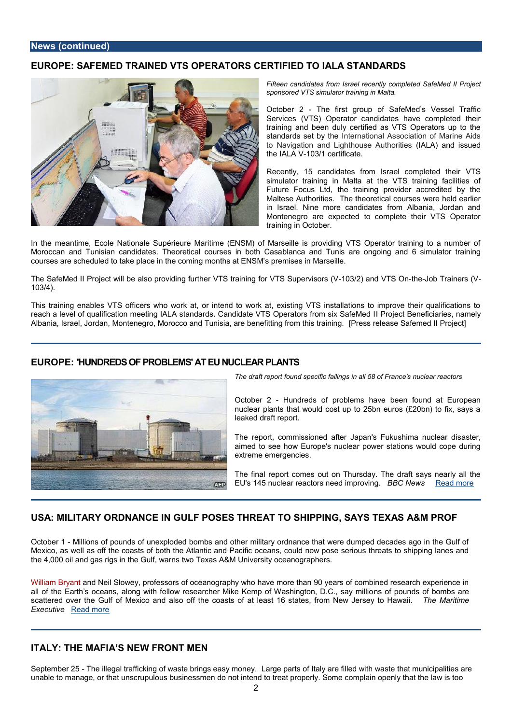# EUROPE: SAFEMENDE OT RAATIS OPERATE RIFIED ET O IALA STANDARDS

Fifteen candidates from Israel recently complete sponsored VTS simulator training in Malta.

October- The first group of SafeMed s Ves Services (VTS) Operator candidates have trainimand been duly certified as VTS Opera standards set I by the tional Association of M to Navigation and Lighthous ALA uthandities ue the IAL-A08/1 certificate.

Recently, 15 candidates from Israe/IT Somp simulator training in Malta at the VTS tra Future Focus Ltd, the training provider a Maltese Authorities. The theoretical course in Israel. Nine more candidates from Alba Montenegre expected to complete their VT training in October.

In the meantime, Ecole Nationale Supérieure Maritime (ENSM) of Marseille is provid Morocnca an offunisia and idates. Theoretical courshels niona baonton Cuansias are ongoing and 6 sim courses are scheduled to take place in the coming months at ENSM s premises in Mars

The SafeMed II Project will be also providing further VTSO 3/20) namod footTheMDS Suppionewiss of M  $103/4$ .

This training enables VTS officers who work at, or intend to work at, existing VTS in reach a level of qualification meeting IALA standards. Candidate roffesctOpenætocsafies, Albania, Israel, Jordan, Montenegro, Morocco and Tunisia [Parrees serre de fatsien of affermetchils Pra

# EUROPTH: UNDREDS OF PROBLEENU NUCLENATES PLA

The draft report found gspienciaflic 5 & ibin France's nuclear reactors

October- Bundreds of problems have been found nuclear plants that would cost up to  $25$ bn euros leaked draft report.

The report, commissioned after Japan's a Fsut bushima aimed to see how Europe's nuclear power station extreme emergencies.

The final report comes out on Thursday. The dra EU's 145 nuclear reactors nBBC inhopw Read more

# USAMILITARY ORDNANGOUE HNP OSES THORESAHT PTPING, SAAYSS AT SENNIPROF

October Millions of pounds of unexploded bombs and other military ordnance that were Mexico, was las off the coasts of both the Atlantic and Pacific oceans, could now pose the 4,000 oil and gas rigs in the Gulf, warns two Texas A&M University oceanographers.

[William B](http://tamus.pr-optout.com/Url.aspx?513992x2756404x-554008)aynadn Neil Slowey, professors of oceanography who have more than 90 years of all of the Earth s oceans, along with fellow researcher Mike **Ksmop powwashomgtom**,b.D.a scattered over the Gulf of Mexico and also off the coasts of at least The solatets merom Executi[Read m](http://maritime-executive.com/article/time-bomb-military-ordnance-in-gulf-poses-threat-to-shipping-says-texas-a-m-prof)ore

# ITALY: THE MAFIA S NEW FRONT MEN

SeptemberT2h5 illegal trafficking of waste bLraings pastys monteylly are filled with waste tha unable to manage, or that subsistinessmen do not intend to treat properly. Some complainty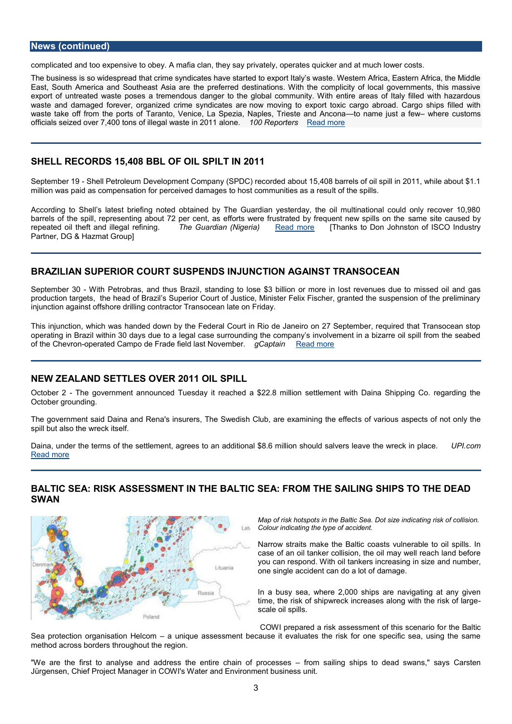complicated and too expensive to obey. A mafia clan, they say privately, operates quic

The business is so wthat a spriem ad syndicates have started to export Italy s waste. Western East, South America and Southeast Asia are the preferred destinations. With the com export of untreatpends was sate tremendous danger to the global community. With entire are waste and damaged forever, organized noorwim mono sying idates paorret to xic cargo abroad. Car waste take off from tThe erapnotot, s Voefnice, La Spezia, Naples, Traine a three a judst A and the mund customs officials seized over  $7,400$  tons of illeg  $\texttt{a}00$  was  $\texttt{a}00$  and  $\texttt{a}00$  and  $\texttt{b}000$  and  $\texttt{c}$ .

## SHELL RECORDS 15,408 BBL OF OIL SPILT IN 2011

SeptemberSh&ll Petroleum Development Company (SPDC) recorded about 15,408 barrels million was paid as compensation for perceived damagets ot thess priolen munities as a resu

According to Shell s latest briefing noted obtained by The Guardian yesterday, the barrels of the spill, representing about 72 per cent, as efforts were afmuestriateed abuys efde repeated oil theft and ille  $\vec{g}$  ahler Gefulardigan (Ni $\frac{R}{mc}$  and  $m$  ore [Thanks to Don Johnston of IS Partner, DG & Hazmat Group]

#### BRAZILIAN SUPEGRUGRET GUSPENDS TING NINGGAINST TREAANSOC

September W8i0th Petrobras, and thus Brazil, standing to olso see \$3 a houine lsio onlue rtom om ressine dloi production tathgee hee, ad of Brazil s Superior Court of Justice, Minister Felix Fischer, gra injunction against offshore drilling contractor Transocean late on Friday.

This jumction, which was handed down by the Federal Court in Rio de Janeiro on 27 Se operating in Brazil within 30 days due to a legal case surrounding the company s invo of th@hevroomerated Campo de Frade field gl@saptNaoineamolemore

#### NEW ZEALAND TSES OVER 209PIDUL

October The government announced Tuesday it reached a \$22.8 million settlement wi October grounding.

The government said Daina and Rena's insurers, The Swedssbf CM and ous eas paeminion for not only spill but also the wreck itself.

Daina, under the terms of the settlement, agrees to an additional \$8.6 million Pls and did [Read m](http://www.upi.com/Business_News/Energy-Resources/2012/10/02/New-Zealand-settles-over-2011-oil-spill/UPI-56601349172508/?spt=hs&or=er)ore

BALTIC SEA: RISESSANGESNT IN THEC ESAELATIFROM THENGS SSIHLIPS TO THE DE. SWAN

> Map of risk hotspots in the Balticca Sing.rDsckt osfizozolihid Colour indicating the type of accident.

> Narrow straits make the Baltic coasts vulner case of an oil tanker collision, the oil may we you can respond. With oil tankersand cmeansions, one single accident can do a lot of damage.

> In a busy sea, where  $2,000$  ships are navigation time, the risk of shipwreck increases along w scale oil spills.

COWI prepared a risk assessment off et Bialtice Sea protection organisaticonurHqueomassessment because it evaluates the risk for one s method across borders throughout the region.

"We are the first to analyse and address the entome samiling of hpips cesselead swans," Jürgensen, Chief Project Manager in COWI's Water and Environment business unit.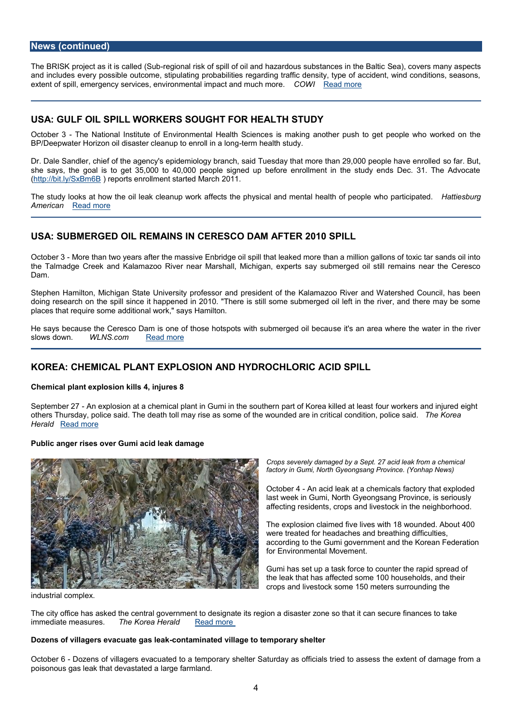The BRISK project as it-riesgcanhlældr (Soku bof spill of oil and hazardous esau) bs dances som many as a and includes every possible outcome, stipulating probabilities regarding traffic densit extent of spill, emergency services, environmenced With Post and much more.

#### USAGULF OIL SPILL RWORKSFIGHT FOR HEFTALLITHA

October The National Institute of Environmenitsalm Halek and the a Shooiten recrepush to get people who BP/Deepwater Horizon oil disaster cleanum hoe a lahhos tuidya long

Dr. Dale Sandler, chief of the agency's epidemiology branch, said Tuesdays oh aarm Buet, t she says, the goal is to get  $35,000$  to  $40,000$  people signed up before enrollment i [\(http://bit.ly/](http://bit.ly/SxBm6B)S)xBemp& Bts enrollment started March 2011.

The study looksthaet bolw leak cleanup work affects the physical and mental **Hea**tlitehs**bur**gge AmericaRead more

### USASUBMERGED OIL RSEINNIAGNERESCO DEANY 2ACF1TO SPILL

Octobe<sub>t</sub> Mare than two years after the massive Enbridge oil spill that leaked more than the Talmadgeek and Kalamazoo River near Marshall, Michigan, experts say submerge Dam.

Stephen Hamilton, Michigan State University professor and president of the Kalamazo doing researtche cspill since it happened in 2010. "There is still some submerged oil le places that require some additional work," says Hamilton.

He says because the Ceresco Dam is one of those hotspeoits's waith as uebamwe hoe at blie bleactaeu slows downWLNS.com [Read m](http://www.wlns.com/story/19728200/epa-more-cleanup-needed-in-2010-enbridge-spill)ore

### KOREA: CHEMICAL PLANT EXPLOSION AND HYDROCHLORIC ACID SPILL

Chemicpallant explosion kills 4, injures 8

Septembe-rA2h 7 explosion at a chemical plant in Gumi in the southeeun wpoarkt eorts Kaonnebing inhikt will end others Thursday, pTohliec edesaatind toll may rise as some of tihceal woo unnddietido arep oiThinceerihScariela Heral Read more

Public anger rises over Gumi acid leak damage

Crops severely damaged by a Sept. 27 acid leak f factory umiG North Gyeongsang Province. (Yonhap

OctoberA $A$  acid leak at a chemicals factory that last week in Gumi, North Gyeongsang Provin affecting residents, crops and livestock in t

The explosion cleal inveeds fivith 18 wounded. About were treated for headaches and breathing di according to the Gumi government and the K for Environmental Movement.

Gumi has set up a task force to counter the the leak that fleasted some 100 households, and the leak that fleasted some 100 households, and crops and livestock some 150 meters surrou

industrial complex.

The city office has asked the central government to designate its region a disaster zor immediate smees. The Korea HerRa ed more

Dozens of villagers evacuade to a baked village to temporary shelter

October D60 zens of villagers evacuata ed to adteem Spacturday as officials tried to assess the poisonous gas leak that devastated a large farmland.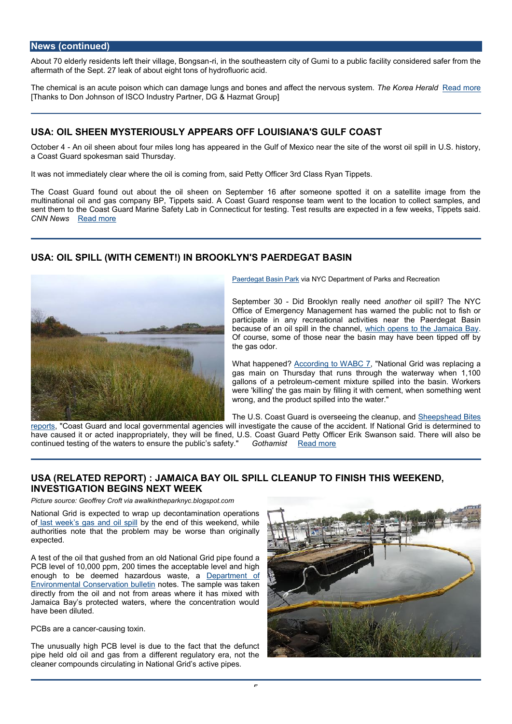About 70 elderly residents left threijrinvithæge, puBtohneqassatearn city of cGluinnyictoon asiplenbelick sfaafer f aftermath of the Sept. 27 leak of about eight tons of hydrofluoric acid.

The chemical is an acute poison which can damage lungs and bTohneesK anedaah<u>fMeeenatichth</u>eo meer [Thanks to Don Johnson of ISCO Industry Partner, DG & Hazmat Group]

### USAOIL SHEEN MYSTERIADPURSEARS OFFIALNOAUS SGULF COAST

October A4h oil sheen about four miles long Goadfaopfp Mexico in the site of the worst oil a Coast Guard spokesman said Thursday.

It was not immediately clear where the oil is coming from, said Petty Officer 3rd Class

The Coast Guard found out æbeonutonth Septile maber 16 after someone spotted it on a satellite image from the from the from the from the state in the from the state in the from the from the from the from the from the from multinational oil and gas company BP, Tippets said. A Coast Guard response team we sent them to the Coast Guard Marine tScaufetty r Labsting. These results are expected in a few CNN Newsead more

#### USAOIL SPILL (WITHN TO EMME BROOKLAYENR SIEPGAT BASIN

[Paerdegat Bas](http://www.nycgovparks.org/parks/paerdegatbasinpark/history)in aPN MC Department of Parks and Recreati

September  $DSi0d$  Brooklyn read hypthogogid spill? The NY Office of  $Empr$  Meamagement has warned the public participate in any recreational activities near t because of an oil spill inhthe **chansel** the Jamaic Of course, some of those near the basin may hav the gas odor.

What happened?rding to WAN&tional Grid was repl gas main on Thursday that runs through the wat gallons of a peteronleent mixture spilled into the ba were 'kilhienga' is main by filling it with cement, when wrong, and the product spilled into the water.

The U.S. Coast Guard is overseein Schiebelschlee and uPpites [repo](http://www.sheepsheadbites.com/2012/09/oil-spill-brooklyn-national-grid/)rts Coast Guard and local governmental agencies will investigate the cause of the have caused it or accpleidationlaypptrhey wil**l Be diarsed Guare**tty Offic**e** two Ernision said. There will continued testing of the waters to ensure othe a polishie acs matety.

## USA (RELATED R) EPINONATIA BAY OIL SPIALN LOTEL OF INISH THE ASNO, INVESTIGATION BNEEGY IN SWEEK

Picture source: Geoffrey Croft via awalkintheparknyc.blogspot.com

National Grid is expected to wrap up decontamination operations oflast week s gas and of ohle somid of this weekend, while authorities note that the problem may be worse than originally expected.

A test of the oil that gushed from an boddn dational Grid pip PCB level of 10,000 ppm, 200 times the acceptable level and high enough to be deemed hazardo Duespawtans tent af [Environmental Conserv](http://www.dec.ny.gov/press/85859.html)antoidesbullheetissampleen was tak directly from the oil and not from areas where it has mixed with Jamaica Bay s protected waters, where the concentration would have been diluted.

PCBs are a ccaanuseing toxin.

The unusually high PCB level is due to the fact that the defunct pipe heolldd oil and gas from a different regulatory era, not the cleaner compounds circulating in National Grid s active pipes.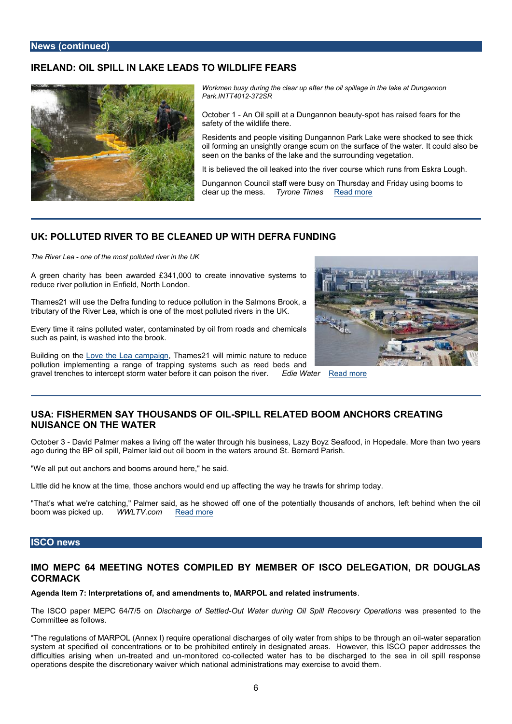# IRELAND: OIL **S**IPLIAKE LEADS TO IFWEILFDEARS

Workmen busy during the clear up afteen that hee aotil Dsupnigh laargreo inn th Park.INTT-3022R

October An Osipill at a Dungan *is* one the ast tyaised fears for the safety of the wildlife there.

Residents and people visiting Dungannon Park Lake wer oil forming an unsightly mooan the surface of the water. It seen on the banks of the lake and the surrounding vege

It is believed the oil leaked into the river course which

Dungannon Council staff were busy on Trhgu bsodoany satrod Fri clear up the messione Timesad more

#### UK: POLLUTED ROVEER CTLEANED UPDEVFIREN FUNDING

The River- bea be tmost polluted river in the UK

A green charity has been awarded £341,000 to create innovative systems to reduce river pollution in Enfield, North London.

Thames21 will use the Defra funding to reduce pollution in the Salmons Brook, a tributary or the Lea, which is one of the most polluted rivers in the UK.

Every time it rains polluted water, contaminated by oil from roads and chemicals such as paint, is washed into the brook.

Building on the the Lea campaign es 21 will mimic nature to reduce pollution implementing a range of trapping systems such as reed beds and gravel trenches to intercept storm water beforedie Waant pooisom othee river.

# USA: FISHER MENHOSUS ATN DS OFSPOLILL RELATED BNOCOHNORAS CREATING NUISANCE ON THE WATE R

O ctobe-r Daavid Palmer makes a living off the water througahfohoi**s**, biuns ihhoepseed, allaezy MBoorg zthSæn ago during the BP oil spill, Palmer laid out oil boom in the waters around St. Bernard

"We all put out anchors and booms around here," he said.

Little did he know at the time, those antimagrs hwe own bay dired tump wan if for shrimp today.

"That's what we're catching," Palmer said, as he showed off one of the potentially the boom was picke WWLTV.co[mRead m](http://www.wwltv.com/news/local/Fishermen-say-thousands-of-oil-spill-related-boom-anchors-creating-nuisance-on-the-water-172551291.html)ore

### ISCO news

## IMO MEPC 64 MEETING NOTES COMPILED BY MEMBER OF ISCO DEL CORMACK

Agenda Item 7: Interpretatinoensdomfenatis dtoa, MARPOL and related instruments

The ISCO paper MEPC D6/s4 of The AB goen of -OS nettlowed ter during Oil Spill Recowwaes rypro2e pseemate iool ntso Committee as follows.

The regulations of MARPOL (Annex I) requsiroefoopiely awtiaotne-arlfdoismchstahing e to -wbætethrnsoeupophraatnio system at specified oil concentrations or to be prohibited entirely in designated area difficulties arisin-grewalted annolonitored collected water has to be discharged to the sea in operations despite the discretionary waiver which national administrations may exercis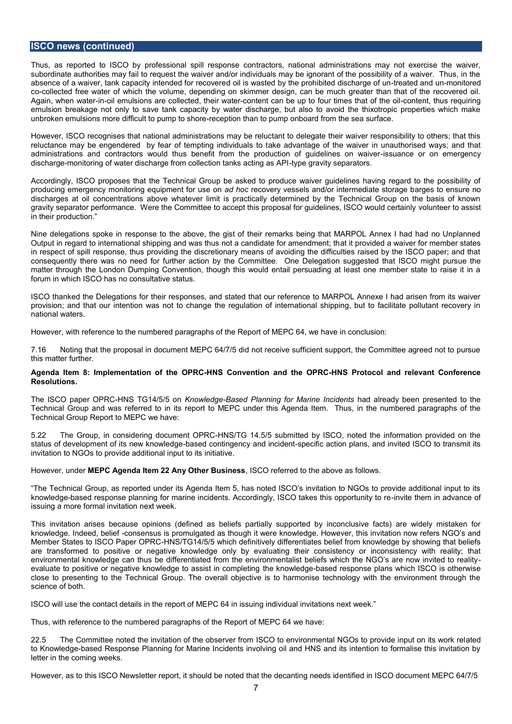## **ISCO news (continued)**

Thus, as reported to ISCO by professional spill response contractors, national administrations may not exercise the waiver, subordinate authorities may fail to request the waiver and/or individuals may be ignorant of the possibility of a waiver. Thus, in the absence of a waiver, tank capacity intended for recovered oil is wasted by the prohibited discharge of un-treated and un-monitored co-collected free water of which the volume, depending on skimmer design, can be much greater than that of the recovered oil. Again, when water-in-oil emulsions are collected, their water-content can be up to four times that of the oil-content, thus requiring emulsion breakage not only to save tank capacity by water discharge, but also to avoid the thixotropic properties which make unbroken emulsions more difficult to pump to shore-reception than to pump onboard from the sea surface.

However, ISCO recognises that national administrations may be reluctant to delegate their waiver responsibility to others; that this reluctance may be engendered by fear of tempting individuals to take advantage of the waiver in unauthorised ways; and that administrations and contractors would thus benefit from the production of guidelines on waiver-issuance or on emergency discharge-monitoring of water discharge from collection tanks acting as API-type gravity separators.

Accordingly, ISCO proposes that the Technical Group be asked to produce waiver guidelines having regard to the possibility of producing emergency monitoring equipment for use on *ad hoc* recovery vessels and/or intermediate storage barges to ensure no discharges at oil concentrations above whatever limit is practically determined by the Technical Group on the basis of known gravity separator performance. Were the Committee to accept this proposal for guidelines, ISCO would certainly volunteer to assist in their production."

Nine delegations spoke in response to the above, the gist of their remarks being that MARPOL Annex I had had no Unplanned Output in regard to international shipping and was thus not a candidate for amendment; that it provided a waiver for member states in respect of spill response, thus providing the discretionary means of avoiding the difficulties raised by the ISCO paper; and that consequently there was no need for further action by the Committee. One Delegation suggested that ISCO might pursue the matter through the London Dumping Convention, though this would entail persuading at least one member state to raise it in a forum in which ISCO has no consultative status.

ISCO thanked the Delegations for their responses, and stated that our reference to MARPOL Annexe I had arisen from its waiver provision; and that our intention was not to change the regulation of international shipping, but to facilitate pollutant recovery in national waters.

However, with reference to the numbered paragraphs of the Report of MEPC 64, we have in conclusion:

7.16 Noting that the proposal in document MEPC 64/7/5 did not receive sufficient support, the Committee agreed not to pursue this matter further.

#### **Agenda Item 8: Implementation of the OPRC-HNS Convention and the OPRC-HNS Protocol and relevant Conference Resolutions.**

The ISCO paper OPRC-HNS TG14/5/5 on *Knowledge-Based Planning for Marine Incidents* had already been presented to the Technical Group and was referred to in its report to MEPC under this Agenda Item. Thus, in the numbered paragraphs of the Technical Group Report to MEPC we have:

5.22 The Group, in considering document OPRC-HNS/TG 14.5/5 submitted by ISCO, noted the information provided on the status of development of its new knowledge-based contingency and incident-specific action plans, and invited ISCO to transmit its invitation to NGOs to provide additional input to its initiative.

However, under **MEPC Agenda Item 22 Any Other Business**, ISCO referred to the above as follows.

"The Technical Group, as reported under its Agenda Item 5, has noted ISCO's invitation to NGOs to provide additional input to its knowledge-based response planning for marine incidents. Accordingly, ISCO takes this opportunity to re-invite them in advance of issuing a more formal invitation next week.

This invitation arises because opinions (defined as beliefs partially supported by inconclusive facts) are widely mistaken for knowledge. Indeed, belief -consensus is promulgated as though it were knowledge. However, this invitation now refers NGO's and Member States to ISCO Paper OPRC-HNS/TG14/5/5 which definitively differentiates belief from knowledge by showing that beliefs are transformed to positive or negative knowledge only by evaluating their consistency or inconsistency with reality; that environmental knowledge can thus be differentiated from the environmentalist beliefs which the NGO's are now invited to realityevaluate to positive or negative knowledge to assist in completing the knowledge-based response plans which ISCO is otherwise close to presenting to the Technical Group. The overall objective is to harmonise technology with the environment through the science of both.

ISCO will use the contact details in the report of MEPC 64 in issuing individual invitations next week."

Thus, with reference to the numbered paragraphs of the Report of MEPC 64 we have:

22.5 The Committee noted the invitation of the observer from ISCO to environmental NGOs to provide input on its work related to Knowledge-based Response Planning for Marine Incidents involving oil and HNS and its intention to formalise this invitation by letter in the coming weeks.

However, as to this ISCO Newsletter report, it should be noted that the decanting needs identified in ISCO document MEPC 64/7/5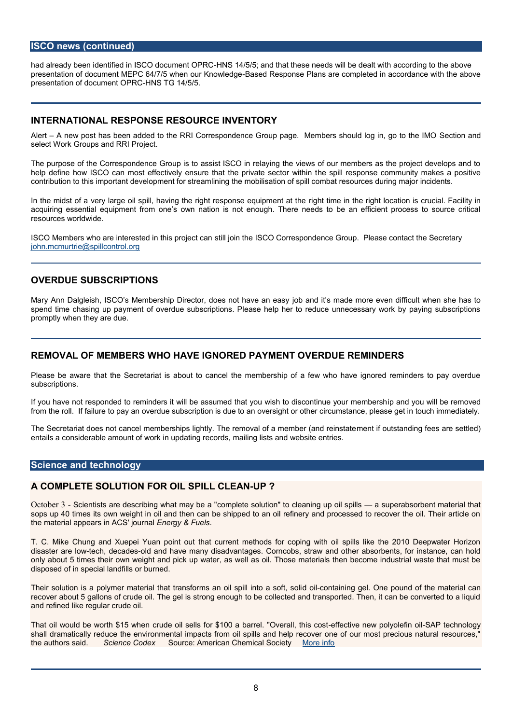# ISCO news (continued)

had already been identified in ISGHON 80t4/n5e5m;t annRtRhChat these needs will be dealt with a presentation of document MEPC 64/7/5-Bwahsend & Roensepten & Wededgeere completed in accordance  $p$  resentation of docum NoSt  $\overline{DCP}R@/5/5$ .

## INTERNATIONAL RESPONSE RESOURCE INVENTORY

Alert A new post has been added to the RRI Correspondence Group page. Show the The Indian should log in the IMO Section and hold respondence and the IMO Section and  $\alpha$ select Work Groups and RRI Project.

The purpose of the Correspondence Group is to assist ISCO in relaying the views of c help define how ISCO can most effectively ensure the atspihle persippates es eccot nom whit hynm take contribution to this important development for streamlining the mobilisation of spill co

In the midsvte of a a pogle spill, having the right responsi**g** help tumpen emit had thoe ht location is cr acquiring essential equipment from one s own nation is not enough. There needs to resources worldwide.

ISCO Members who are interestedstillthos in project Correspondence Group. Please co [john.mcmurtrie@spi](mailto:john.mcmurtrie@spillcontrol.org)llcontrol.org

# OVERDUE SUBSCRIPTIONS

Mary Ann Dalgleish, ISCO s Membership Directojo, b daoneds into st not an exa sewen difficult when  $\alpha$ spend time chasing up payment of overdue subscriptions. Please help her to reduce u promptly when they are due.

# REMOVAL OF MEMBERS WHO HAVE IGNORERDD UPPAYMERANT TO DOR S

Please be aware that the Secretariat is about to cancel the membership of a few wh subscriptions.

If you have not responded to reminders it will be assumed that you a will be will be and it and from the roll. If failure to pay an overdue subscription is due to an oversight or other

The Secretariat does not cancel memberships lightly. The meemotvail coult satamed in hoge if e(easida reinstanding feeds are settled) entails a considerable amount of work in updating records, mailing lists and website en

### Science and technology

## A COMPLETE SOLFLUTITROONSIPILL CLEUPENP

O ctobe 6 c3 entists are describing who and head whe luation" to cleaning supperbals poills ent materi sops up 40 times its own weight in oil and then can be shipped to an oil refinery and the material appears in  $E \wedge E \otimes$ ' y  $F \& \text{uer}$  is all

T. C. Mike Chung and Xuepei Yuan point out that current methods for coping with o disaster arteed by decades and have many disadvantages. Corncobs, straw and other absorbents, for instance, can have many disadvantages. Corncobs, straw and other absorbers, and only about 5 times their own weight and pick up water, as well as oil. Those material disposed of in special landfills or burned.

Their solution is a polymer material that transfo**dmosclant minis prild** eilnt **@** mae spoof  $u, n$  of old f the recover about 5 gallons of crude oil. The gel is strong enough to be collected and tran and refined like regular crude oil.

That oil would be wortch tu\$d1e5 ow hissells for \$100 a barrele ffeOcvteive ilnewhips obsponsible ftien chinology shall dramatically reduce the environmental impacts from oil spills and help recover on the authors saidnce Code Source: American Chemildal Society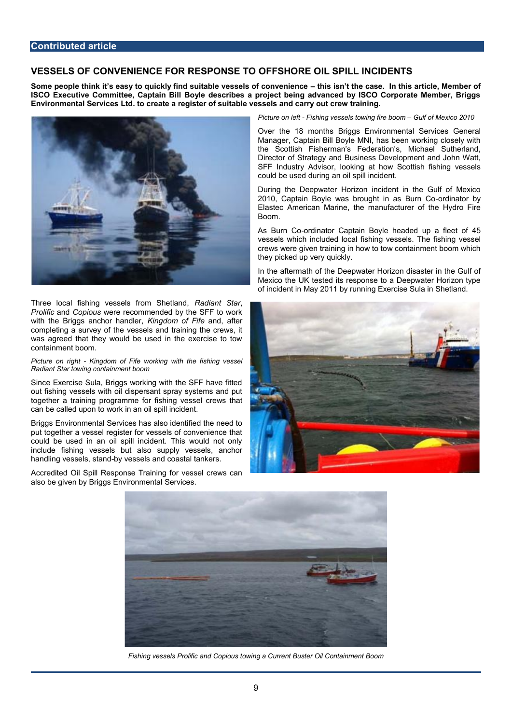# **VESSELS OF CONVENIENCE FOR RESPONSE TO OFFSHORE OIL SPILL INCIDENTS**

**Some people think it's easy to quickly find suitable vessels of convenience – this isn't the case. In this article, Member of ISCO Executive Committee, Captain Bill Boyle describes a project being advanced by ISCO Corporate Member, Briggs Environmental Services Ltd. to create a register of suitable vessels and carry out crew training.**



Three local fishing vessels from Shetland, *Radiant Star*, *Prolific* and *Copious* were recommended by the SFF to work with the Briggs anchor handler, *Kingdom of Fife* and, after completing a survey of the vessels and training the crews, it was agreed that they would be used in the exercise to tow containment boom.

*Picture on right - Kingdom of Fife working with the fishing vessel Radiant Star towing containment boom*

Since Exercise Sula, Briggs working with the SFF have fitted out fishing vessels with oil dispersant spray systems and put together a training programme for fishing vessel crews that can be called upon to work in an oil spill incident.

Briggs Environmental Services has also identified the need to put together a vessel register for vessels of convenience that could be used in an oil spill incident. This would not only include fishing vessels but also supply vessels, anchor handling vessels, stand-by vessels and coastal tankers.

Accredited Oil Spill Response Training for vessel crews can also be given by Briggs Environmental Services.

*Picture on left - Fishing vessels towing fire boom – Gulf of Mexico 2010*

Over the 18 months Briggs Environmental Services General Manager, Captain Bill Boyle MNI, has been working closely with the Scottish Fisherman's Federation's, Michael Sutherland, Director of Strategy and Business Development and John Watt, SFF Industry Advisor, looking at how Scottish fishing vessels could be used during an oil spill incident.

During the Deepwater Horizon incident in the Gulf of Mexico 2010, Captain Boyle was brought in as Burn Co-ordinator by Elastec American Marine, the manufacturer of the Hydro Fire Boom.

As Burn Co-ordinator Captain Boyle headed up a fleet of 45 vessels which included local fishing vessels. The fishing vessel crews were given training in how to tow containment boom which they picked up very quickly.

In the aftermath of the Deepwater Horizon disaster in the Gulf of Mexico the UK tested its response to a Deepwater Horizon type of incident in May 2011 by running Exercise Sula in Shetland.





*Fishing vessels Prolific and Copious towing a Current Buster Oil Containment Boom*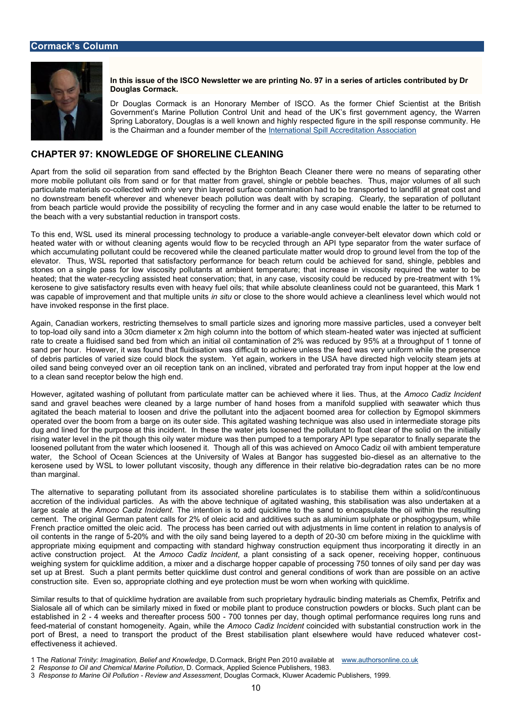In this issue of the ISCO Newshethogr No. 201 and 20 a spermies of articles contributed Douglas Cormack.

Dr Douglas Cormack is an Honorary Member of ISCO<sub>2</sub>.ntAsst tahte thoermBerit Government s Marine Pollution Control Unit and head of the UK s first Spring Laboratory, Douglas is a well known and highly respected figure is the Chairman adred and on the [International Spill Accredit](http://www.isaa.org.uk/)ation Association

### CHAPTER **KNOWLEDGSHOOFRELINE CLEANING**

Apart from the solid oil separation from sand effected by the Brighton sepaachat Cologaontch more mobile pollutant oils from sand or for that matter from gravel, shingle or pebble particulate matesoriale is tered with only very thin layered surface contamolihaantidof hilhaand growe bole coto no downstream benefit wherever and whenever beach pollution was dealt with by scra from beach particle would provide the possibility of recycling the ether maet teanto in eaney tust the beach with a very substantial reduction in transport costs.

To this end, WSL used its mineral processing techannogbegycoton-whoesylotedrouloeevaatovradioa.wine which heated water with or nwintch caugte potes awould flow to be recycled through an API type separator from the water surface of  $\alpha$ which accumulating pollutant could be recovered while the cleaned particulate matter w elevator. Thus, WSthat psantisfactory performance for beach return could be achieved stones on a single pass for low viscosity pollutants at ambient temperature; that inc heated; that the cyyneg bearssisted heat conservation; that, in any case, vistore at my eonou with the end of kerosene to give satisfactory results even with heavy fuel oils; that while absolute cle was capable of mimento and that multips indituralions to the shore would achieve a cleanliness have invoked response in the first place.

Again, Canadian workers, restricting themselves to small particleleiszes særddaigrom onviengen to telpad oily sand into a 30cm diameter x 2m high column-hienati**c**e of hwo abtettowna so injwehoibeholsatel rate to create a fluidised sand bed from which an initial oil 65% taminant troughiput of 20 5 to sand per hour. However, it was found that fluidisation was difficult to achieve unless of debris particles of varied size could block the system aveY edtirægcatend, hwighkeres oionityh ste oiled sand being conveyed over an oil reception tank on an inclined, vibrated and per to a clean sand receptor below the high end.

However, agitated washning from from podalruta ulate matter can be achieved where occo it dideis. Infibiudes sand and gravel beaches were cleaned by a large number of hand hoses from a man agitated the beach material  $\mathbf{v}$  the spollant and rinto the adjacent boomed area for collection by Egmopol skimmers operated over the boom from a barge on its outer side. This agitated washing techniqu dug and lined for the purponste ain timins sien ot hobe water jets loosened the pollutant to float c rising water level in the pit though this oily water mixture was then pumped to a tempo loosened polluttahnet whactmer which loosened it. Though all of this was achieved on Amoco water, the School of Ocean Sciences at the University of WobikesselatasBanng ant the ransatsing kerosene used by WWeStL ptod luiotant viscosity, though any differebengcread at thome ir anter batoinant bio n than marginal.

The alternative to separating pollutant from its associated shoreline particulates is accretiof the individual particles. As with the above technique of agitated washing, large scale Amndbe Cadiz InTchide imitention is to add quicklime to the sand to encapsulat cement. The original German patent calls for 2% of oleic acid and additives such as a French practice omitted the oleic acid. The process has been carried out withis dojfustn oil contents in the–210a% agen**oi** fwo5ith the oily sand being lay—200 endmtobeafodreepthnixoing20in the quid appropriate mixing equipment and compacting with standard highway construcitnon equ active construction pro $A$ encotco ACtadina Incided ant consisting of a sack opener, receiving weighing system for quicklime addition, a mixer and a discharge hopper capable as pro set up at Brest. Such a plant permits better quicklime dust control and general cond construction site. Even so, appropriate clothing and eye protection must be worn wher

Simirla results to that of quicklime hydration are available from such proprietary hydraul Sialosale all of which can be similarly mixed in fixed or mobile plant to produane boconst established 4 nw2 eks and thereafter process need per day, though optimal performance research feednaterial of constant homogeneity. A magain, a while enthine cided with substantial construct port of Brest, a need to transport the product of the Brest stabilisation plant-elsey effectiveness it achieved.

1 ThReational Trinity: Imagination, BelDe CanndaKchowBlreidige Pen 201M Ow availah bolles ant line.co.uk 2 Response to Oil and Chemical, Mar Croem PaddkutAppplied Science Publishers, 1983. 3 Response to Marine Gi**R**e Poi**elw taond Asse Bom opirats Cormacck Ackade**w mic Publishers, 1999.